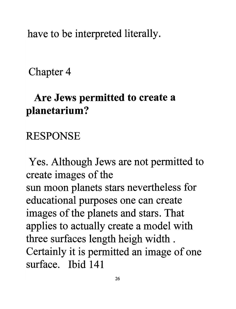have to be interpreted literally.

Chapter 4

## **Are Jews permitted to create a planetarium?**

## RESPONSE

Yes. Although Jews are not permitted to create images of the sun moon planets stars nevertheless for educational purposes one can create images of the planets and stars. That applies to actually create a model with three surfaces length heigh width . Certainly it is permitted an image of one **surface. Ibid 141**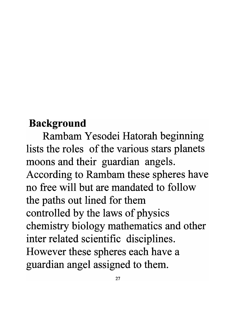## **Background**

Rambam Yesodei Hatorah beginning lists the roles of the various stars planets moons and their guardian angels. According to Rambam these spheres have **no free will but are mandated to follow**  the paths out lined for them controlled by the laws of physics chemistry biology mathematics and other inter related scientific disciplines. However these spheres each have a guardian angel assigned to them.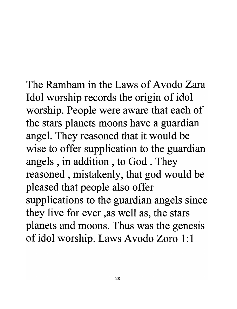The Rambam **in the** Laws of **A vodo Zara**  Idol worship records the origin of idol worship. People were aware that each of the stars planets moons have a guardian ange1. They reasoned that it would be wise to offer supplication to the guardian angels , in addition , to God . They reasoned , mistakenly, that god would be pleased that people also offer supplications to the guardian angels since they live for ever ,as well as, the stars planets and moons. Thus was the genesis of idol worship. Laws Avodo Zoro 1:1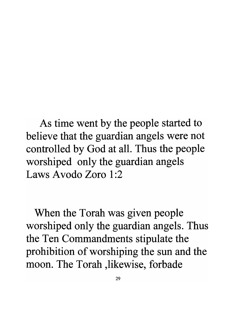As time went by the people started to believe that the guardian angels were not controlled by God at all. Thus the people worshiped only the guardian angels Laws Avodo Zoro 1:2

When the Torah was given people worshiped only the guardian angels. Thus the Ten Commandments stipulate the prohibition of worshiping the sun and the moon. The Torah ,likewise, forbade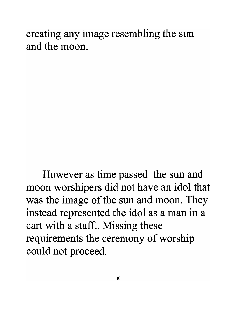creating any image resembling the sun **and the moon.** 

However as time passed the sun and moon worshipers did not have an idol that was the image of the sun and moon. They instead represented the idol as a man in a cart with a staff.. Missing these requirements the ceremony of worship could not proceed.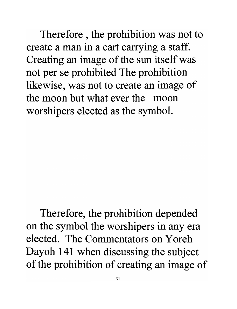Therefore , the prohibition was not to create a man in a cart carrying a staff. Creating an image of the sun itselfwas not per se prohibited The prohibition likewise, was not to create an image of the moon but what ever the moon worshipers elected as the symbol.

Therefore, the prohibition depended on the symbol the worshipers in any era elected. The Commentators on Y oreh Dayoh 141 when discussing the subject of the prohibition of creating an image of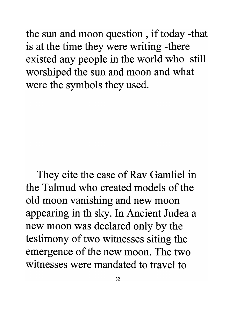the sun and moon question , if today -that is at the time they were writing -there existed any people in the world who still worshiped the sun and moon and what were the symbols they used.

They cite the case of Rav Gamliel in **the Talmud** who **created models of the**  old moon vanishing and new moon appearing in th sky. In Ancient Judea a new moon was declared only by the testimony of two witnesses siting the emergence of the new moon. The two **witnesses were mandated to travel to**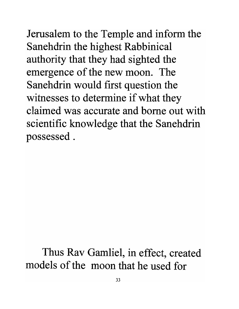Jerusalem to the Temple and inform the Sanehdrin the highest Rabbinical authority that they had sighted the emergence of the new moon. The Sanehdrin would first question the witnesses to determine if what they **claimed was accurate and borne out with**  scientific knowledge that the Sanehdrin possessed.

Thus Rav Gamliel, in effect, created **models of the moon that he used for**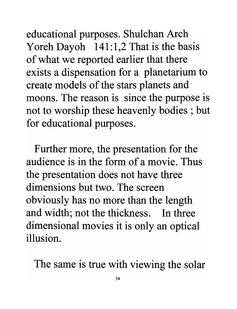educational purposes. Shulchan Arch Yoreh Dayoh  $141:1,2$  That is the basis of what we reported earlier that there exists a dispensation for a planetarium to create models of the stars planets and moons. The reason is since the purpose is not to worship these heavenly bodies; but for educational purposes.

Further more, the presentation for the audience is in the form of a movie. Thus the presentation does not have three dimensions but two. The screen obviously has no more than the length and width; not the thickness. In three dimensional movies it is only an optical illusion.

The same is true with viewing the solar